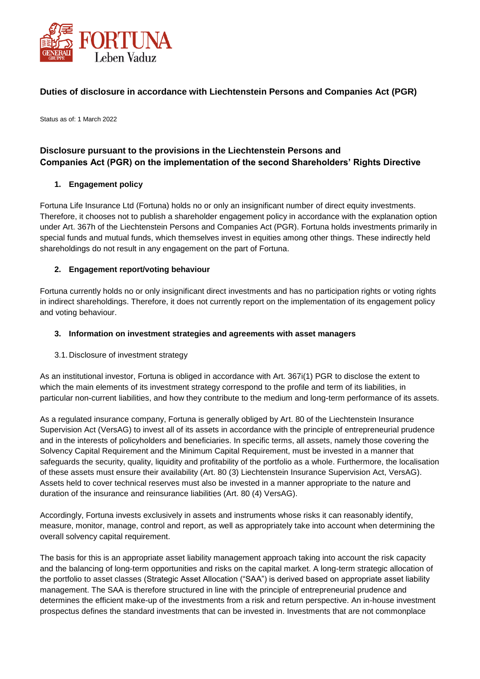

# **Duties of disclosure in accordance with Liechtenstein Persons and Companies Act (PGR)**

Status as of: 1 March 2022

# **Disclosure pursuant to the provisions in the Liechtenstein Persons and Companies Act (PGR) on the implementation of the second Shareholders' Rights Directive**

## **1. Engagement policy**

Fortuna Life Insurance Ltd (Fortuna) holds no or only an insignificant number of direct equity investments. Therefore, it chooses not to publish a shareholder engagement policy in accordance with the explanation option under Art. 367h of the Liechtenstein Persons and Companies Act (PGR). Fortuna holds investments primarily in special funds and mutual funds, which themselves invest in equities among other things. These indirectly held shareholdings do not result in any engagement on the part of Fortuna.

## **2. Engagement report/voting behaviour**

Fortuna currently holds no or only insignificant direct investments and has no participation rights or voting rights in indirect shareholdings. Therefore, it does not currently report on the implementation of its engagement policy and voting behaviour.

#### **3. Information on investment strategies and agreements with asset managers**

#### 3.1. Disclosure of investment strategy

As an institutional investor, Fortuna is obliged in accordance with Art. 367i(1) PGR to disclose the extent to which the main elements of its investment strategy correspond to the profile and term of its liabilities, in particular non-current liabilities, and how they contribute to the medium and long-term performance of its assets.

As a regulated insurance company, Fortuna is generally obliged by Art. 80 of the Liechtenstein Insurance Supervision Act (VersAG) to invest all of its assets in accordance with the principle of entrepreneurial prudence and in the interests of policyholders and beneficiaries. In specific terms, all assets, namely those covering the Solvency Capital Requirement and the Minimum Capital Requirement, must be invested in a manner that safeguards the security, quality, liquidity and profitability of the portfolio as a whole. Furthermore, the localisation of these assets must ensure their availability (Art. 80 (3) Liechtenstein Insurance Supervision Act, VersAG). Assets held to cover technical reserves must also be invested in a manner appropriate to the nature and duration of the insurance and reinsurance liabilities (Art. 80 (4) VersAG).

Accordingly, Fortuna invests exclusively in assets and instruments whose risks it can reasonably identify, measure, monitor, manage, control and report, as well as appropriately take into account when determining the overall solvency capital requirement.

The basis for this is an appropriate asset liability management approach taking into account the risk capacity and the balancing of long-term opportunities and risks on the capital market. A long-term strategic allocation of the portfolio to asset classes (Strategic Asset Allocation ("SAA") is derived based on appropriate asset liability management. The SAA is therefore structured in line with the principle of entrepreneurial prudence and determines the efficient make-up of the investments from a risk and return perspective. An in-house investment prospectus defines the standard investments that can be invested in. Investments that are not commonplace